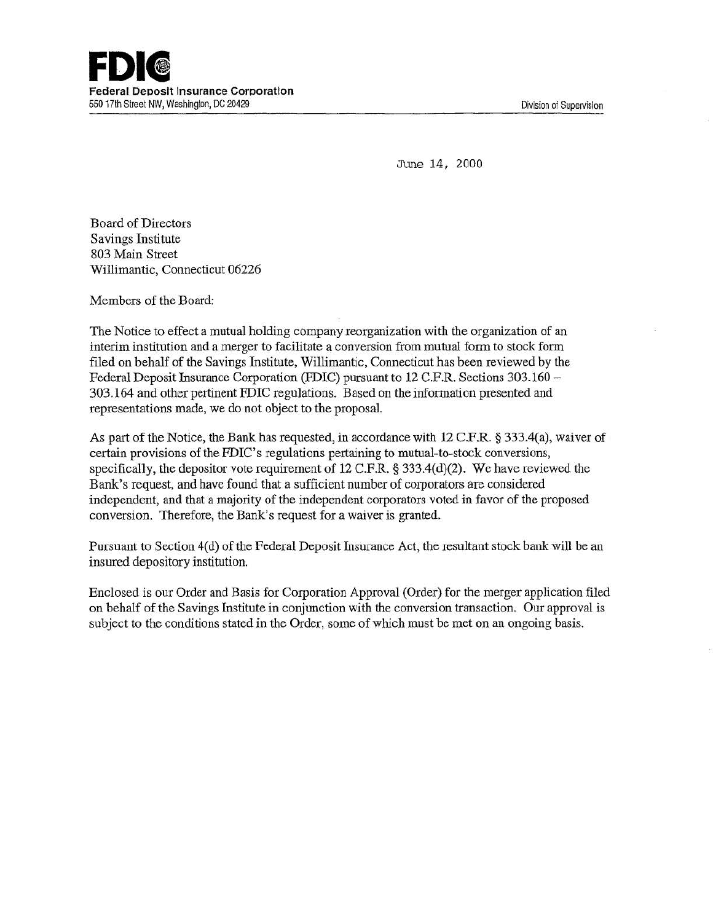

June 14, 2000

Board of Directors Savings Institute 803 Main Street Willimantic, Connecticut 06226

Members of the Board:

The Notice to effect a mutual holding company reorganization with the organization of an interim institution and a merger to facilitate a conversion from mutual form to stock fonn filed on behalf of the Savings Institute, Willimantic, Connecticut has been reviewed by the Federal Deposit Insurance Corporation (FDIC) pursuant to 12 C.P.R. Sections 303.160- 303.164 and other pertinent FDIC regulations. Based on the information presented and representations made, we do not object to the proposal.

As part of the Notice, the Bank has requested, in accordance with 12 C.P.R. § 333.4(a), waiver of certain provisions of the FDIC's regulations pertaining to mutual-to-stock conversions, specifically, the depositor vote requirement of 12 C.F.R.  $\S$  333.4(d)(2). We have reviewed the Bank's request, and have found that a sufficient number of corporators are considered independent, and that a majority of the independent corporators voted in favor of the proposed conversion. Therefore, the Bank's request for a waiver is granted.

Pursuant to Section 4(d) of the Federal Deposit Insurance Act, the resultant stock bank will be an insured depository institution.

Enclosed is our Order and Basis for Corporation Approval (Order) for the merger application filed on behalf of the Savings Institute in conjunction with the conversion transaction. Our approval is subject to the conditions stated in the Order, some of which must be met on an ongoing basis.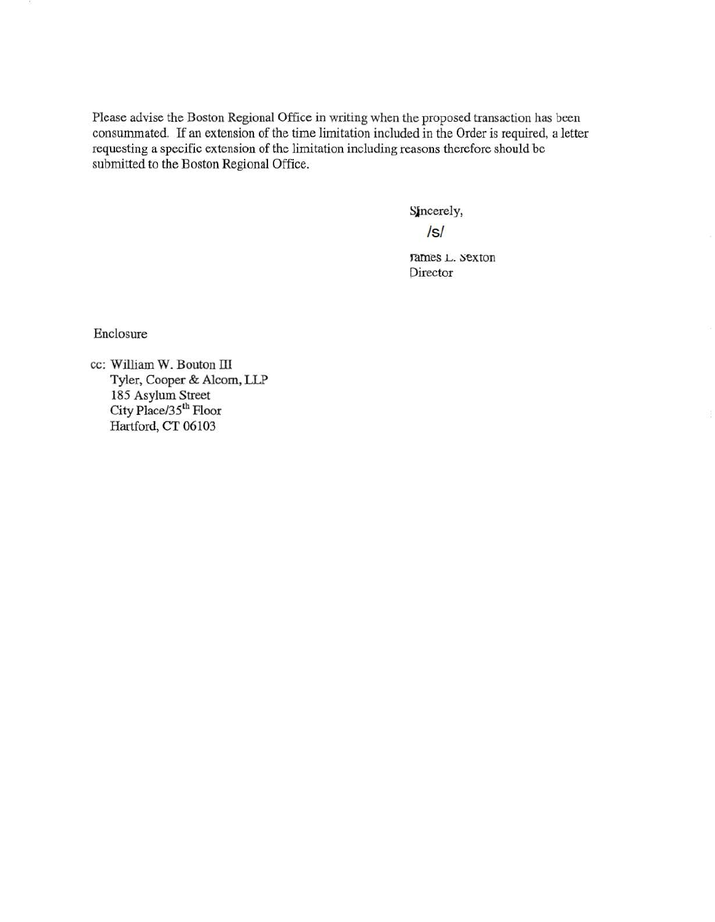Please advise the Boston Regional Office in writing when the proposed transaction has been consummated. If an extension of the time limitation included in the Order is required, a Jetter requesting a specific extension of the limitation including reasons therefore should be submitted to the Boston Regional Office.

Sjncerely,

Is/

rames L. Sexton **Director** 

Enclosure

cc: William W. Bouton III Tyler, Cooper & Alcorn, LLP 185 Asylum Street City Place/35<sup>th</sup> Floor Hartford, CT 06103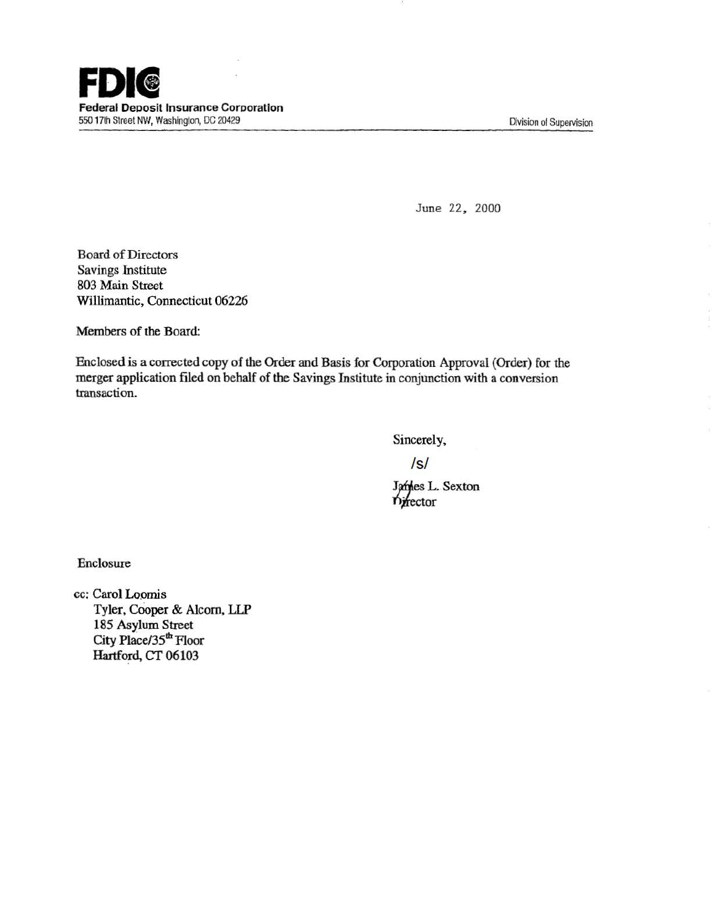Division of Supervision

June 22, 2000

Board of Directors Savings Institute 803 Main Street Willimantic, Connecticut 06226

Members of the Board:

Enclosed is a corrected copy of the Order and Basis for Corporation Approval (Order) for the merger application filed on behalf of the Savings Institute in conjunction with a conversion transaction.

Sincerely,

/s/

Jannes L. Sexton nifector

Enclosure

cc: Carol Lopmis Tyler, Cooper & Alcorn, LLP 185 Asylum Street City Place/35<sup>th</sup> Floor Hartford, *CT* 06103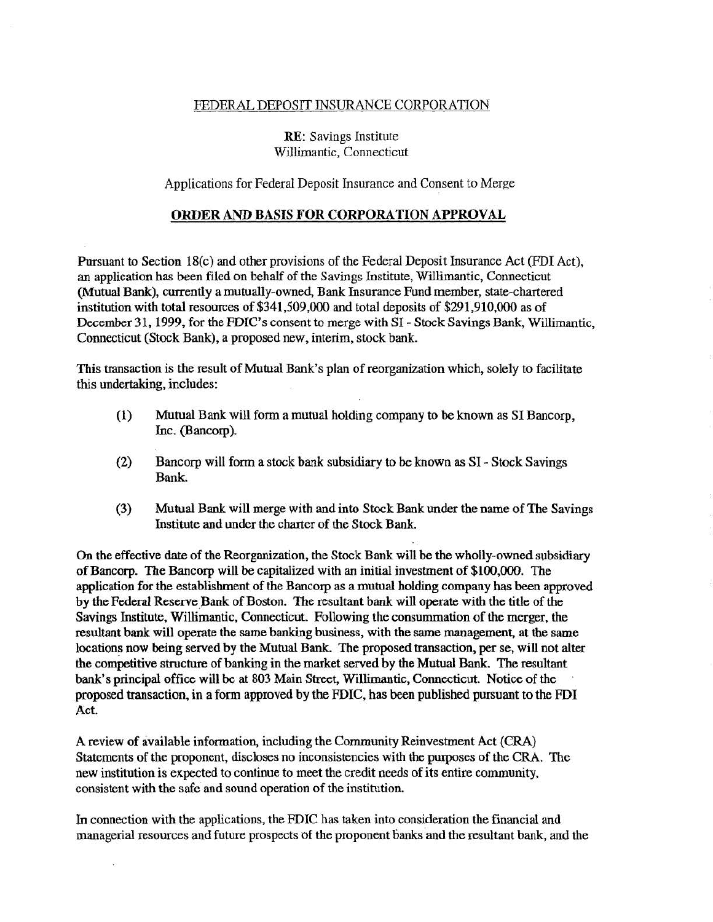## FEDERAL DEPOSIT JNSURANCE CORPORATION

RE: Savings Institute Willimantic, Connecticut

Applications for Federal Deposit Insurance and Consent to Merge

## ORDER AND BASIS FOR CORPORATION APPROVAL

Pursuant to Section 18(c) and other provisions of the Federal Deposit Insurance Act (FDI Act), an application has been filed on behalf of the Savings Institute, Willimantic, Connecticut (Mutual Bank), currently a mutually-owned, Bank Insurance Fund member, state-chartered institution with total resources of \$341,509,000 and total deposits of \$291,910,000 as of December 31, 1999, for the FDIC's consent to merge with SI - Stock Savings Bank, Willimantic, Connecticut (Stock Bank), a proposed new, interim, stock bank.

This transaction is the result of Mutual Bank's plan of reorganization which, solely to facilitate this undertaking, includes:

- (1) Mutual Bank will form a mutual holding company to be known as SI Bancorp, Inc. (Bancorp).
- $(2)$  Bancorp will form a stock bank subsidiary to be known as SI Stock Savings Bank.
- (3) Mutual Bank will merge with and into Stock Bank under the name of The Savings Institute and under the charter of the Stock Bank.

On the effective date of the Reorganization, the Stock Bank will be the wholly-owned subsidiary ofBancorp. The Bancorp will be capitalized with an initial investment of \$100,000. The application for the establishment of the Bancorp as a mutual holding company has been approved by the Federal Reserve.Bank of Boston. The resultant bank will operate with the title of the Savings Institute, Willimantic, Connecticut. Following the consummation of the merger, the resultant bank will operate the same banking business, with the same management, at the same locations now being served by the Mutual Bank. The proposed transaction, per se, will not alter the competitive structure of banking in the market served by the Mutual Bank. The resultant bank's principal office will be at 803 Main Street, Willimantic, Connecticut. Notice of the proposed transaction, in a fonn approved by the FDIC, has been published pursuant to the FDI Act.

A review of available information, including the Community Reinvestment Act (CRA) Statements of the proponent, discloses no inconsistencies with the purposes of the CRA. The new institution is expected to continue to meet the credit needs of its entire community, consistent with the safe and sound operation of the institution.

In connection with the applications, the FDIC has taken into consideration the financial and managerial resources and future prospects of the proponent banks and the resultant bank, and the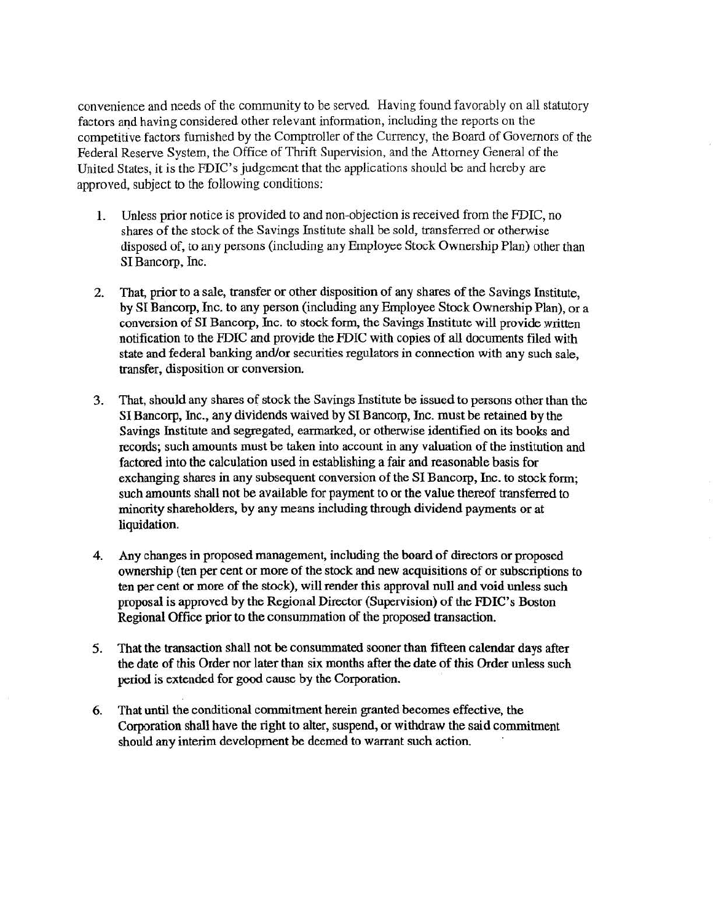convenience and needs of the community to be served. Having found favorably on all statutory factors and having considered other relevant information, including the reports on the competitive factors furnished by the Comptroller of the Currency, the Board of Governors of the Federal Reserve System, the Office of Thrift Supervision, and the Attorney General of the United States, it is the FDIC's judgement that the applications should be and hereby are approved, subject to the following conditions:

- 1. Unless prior notice is provided to and non-objection is received from the FDIC, no shares of the stock of the Savings Institute shall be sold, transferred or otherwise disposed of, to any persons (including any Employee Stock Ownership Plan) other than SI Bancorp, Inc.
- 2. That, prior to a sale, transfer or other disposition of any shares of the Savings Institute, by SI Bancorp, Inc. to any person (including any Employee Stock Ownership Plan), or a conversion of SI Bancorp, Inc. to stock form, the Savings Institute will provide written notification to the FDIC and provide the FDIC with copies of all documents filed with state and federal banking and/or securities regulators in connection with any such sale, transfer, disposition or conversion.
- 3. That, should any shares of stock the Savings Institute be issued to persons other than the SI Bancorp, Inc., any dividends waived by SI Bancorp, Inc. must be retained by the Savings Institute and segregated, earmarked, or otherwise identified on its books and records; such amounts must be taken into account in any valuation of the institution and factored into the calculation used in establishing a fair and reasonable basis for exchanging shares in any subsequent conversion of the SI Bancorp, Inc. to stock form; such amounts shall not be available for payment to or the value thereof transferred to minority shareholders, by any means including through dividend payments or at liquidation.
- 4. Any changes in proposed management, including the board of directors or proposed ownership (ten per cent or more of the stock and new acquisitions of or subscriptions to ten per cent or more of the stock), will render this approval null and void unless such proposal is approved by the Regional Director (Supervision) of the FDIC's Boston Regional Office prior to the consummation of the proposed transaction.
- 5. That the transaction shall not be consummated sooner than fifteen calendar days after the date of this Order nor later than six months after the date of this Order unless such period is extended for good cause by the Corporation.
- 6. That until the conditional commitment herein granted becomes effective, the Corporation shall have the right to alter, suspend, or withdraw the said commitment should any interim development be deemed to warrant such action.